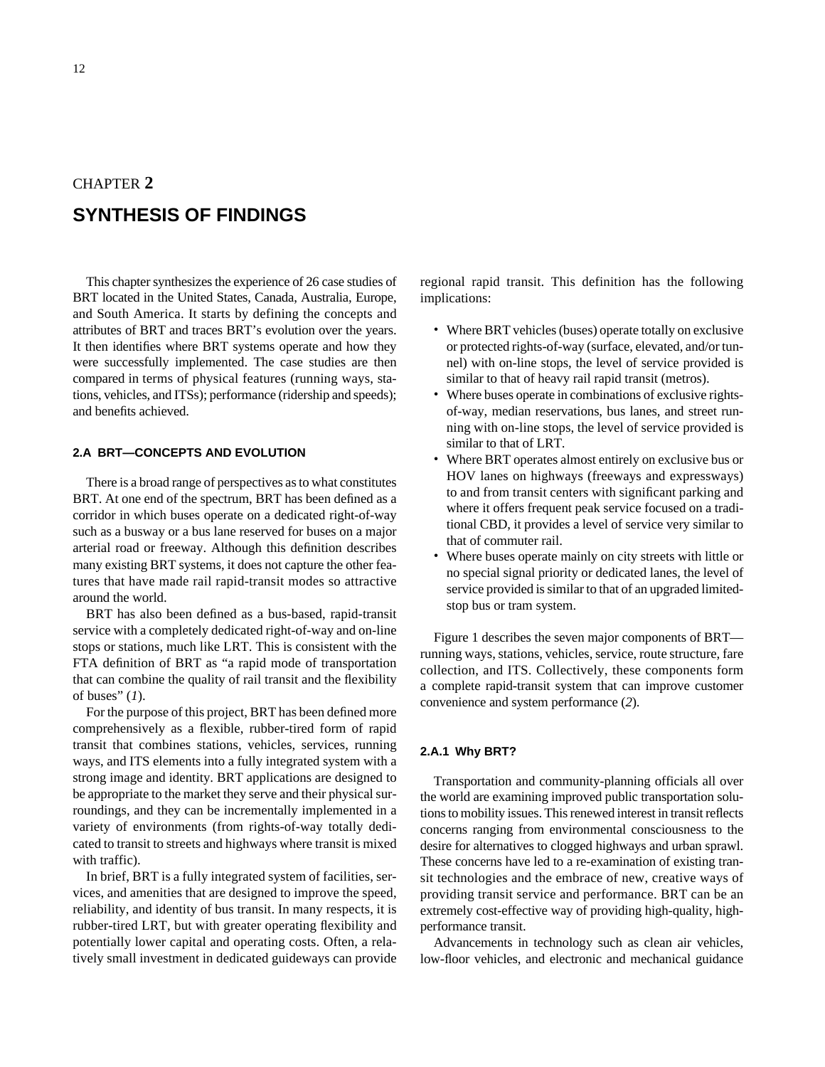# CHAPTER **2 SYNTHESIS OF FINDINGS**

This chapter synthesizes the experience of 26 case studies of BRT located in the United States, Canada, Australia, Europe, and South America. It starts by defining the concepts and attributes of BRT and traces BRT's evolution over the years. It then identifies where BRT systems operate and how they were successfully implemented. The case studies are then compared in terms of physical features (running ways, stations, vehicles, and ITSs); performance (ridership and speeds); and benefits achieved.

## **2.A BRT—CONCEPTS AND EVOLUTION**

There is a broad range of perspectives as to what constitutes BRT. At one end of the spectrum, BRT has been defined as a corridor in which buses operate on a dedicated right-of-way such as a busway or a bus lane reserved for buses on a major arterial road or freeway. Although this definition describes many existing BRT systems, it does not capture the other features that have made rail rapid-transit modes so attractive around the world.

BRT has also been defined as a bus-based, rapid-transit service with a completely dedicated right-of-way and on-line stops or stations, much like LRT. This is consistent with the FTA definition of BRT as "a rapid mode of transportation that can combine the quality of rail transit and the flexibility of buses" (*1*).

For the purpose of this project, BRT has been defined more comprehensively as a flexible, rubber-tired form of rapid transit that combines stations, vehicles, services, running ways, and ITS elements into a fully integrated system with a strong image and identity. BRT applications are designed to be appropriate to the market they serve and their physical surroundings, and they can be incrementally implemented in a variety of environments (from rights-of-way totally dedicated to transit to streets and highways where transit is mixed with traffic).

In brief, BRT is a fully integrated system of facilities, services, and amenities that are designed to improve the speed, reliability, and identity of bus transit. In many respects, it is rubber-tired LRT, but with greater operating flexibility and potentially lower capital and operating costs. Often, a relatively small investment in dedicated guideways can provide

regional rapid transit. This definition has the following implications:

- Where BRT vehicles (buses) operate totally on exclusive or protected rights-of-way (surface, elevated, and/or tunnel) with on-line stops, the level of service provided is similar to that of heavy rail rapid transit (metros).
- Where buses operate in combinations of exclusive rightsof-way, median reservations, bus lanes, and street running with on-line stops, the level of service provided is similar to that of LRT.
- Where BRT operates almost entirely on exclusive bus or HOV lanes on highways (freeways and expressways) to and from transit centers with significant parking and where it offers frequent peak service focused on a traditional CBD, it provides a level of service very similar to that of commuter rail.
- Where buses operate mainly on city streets with little or no special signal priority or dedicated lanes, the level of service provided is similar to that of an upgraded limitedstop bus or tram system.

Figure 1 describes the seven major components of BRT running ways, stations, vehicles, service, route structure, fare collection, and ITS. Collectively, these components form a complete rapid-transit system that can improve customer convenience and system performance (*2*).

# **2.A.1 Why BRT?**

Transportation and community-planning officials all over the world are examining improved public transportation solutions to mobility issues. This renewed interest in transit reflects concerns ranging from environmental consciousness to the desire for alternatives to clogged highways and urban sprawl. These concerns have led to a re-examination of existing transit technologies and the embrace of new, creative ways of providing transit service and performance. BRT can be an extremely cost-effective way of providing high-quality, highperformance transit.

Advancements in technology such as clean air vehicles, low-floor vehicles, and electronic and mechanical guidance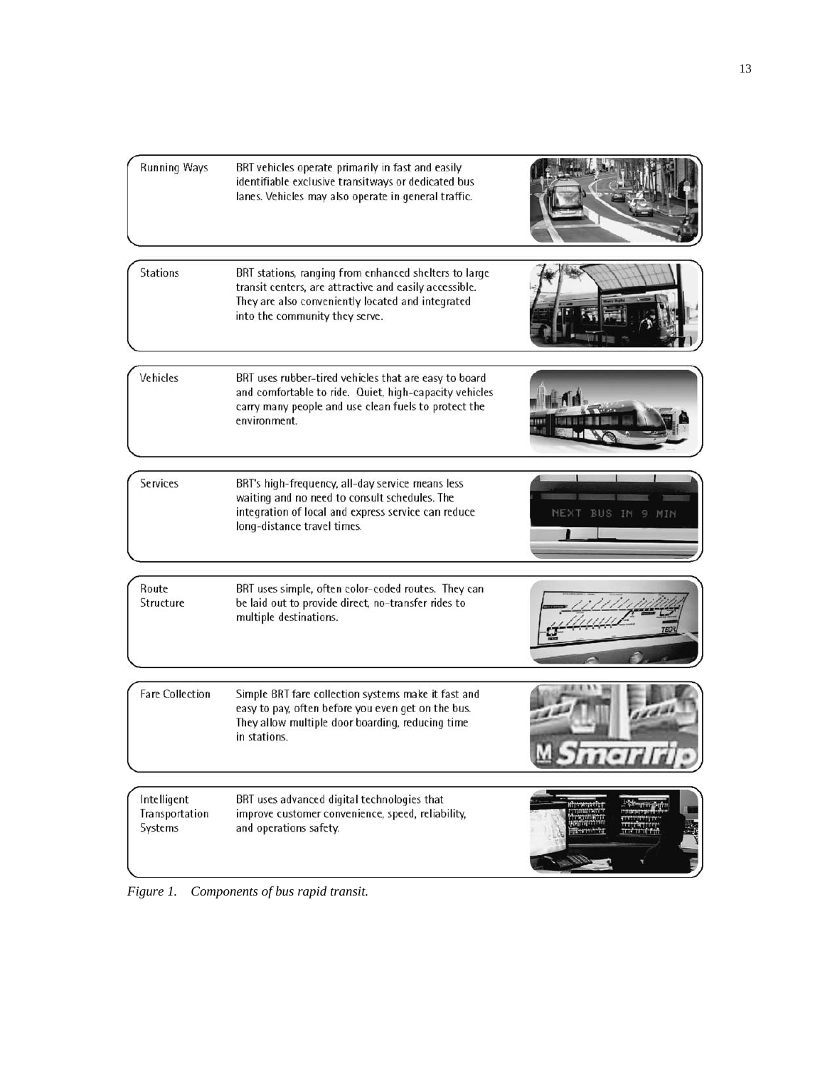| <b>Running Ways</b>                      | BRT vehicles operate primarily in fast and easily<br>identifiable exclusive transitways or dedicated bus<br>lanes. Vehicles may also operate in general traffic.                                       |                                                                                                                                                                       |
|------------------------------------------|--------------------------------------------------------------------------------------------------------------------------------------------------------------------------------------------------------|-----------------------------------------------------------------------------------------------------------------------------------------------------------------------|
| <b>Stations</b>                          | BRT stations, ranging from enhanced shelters to large<br>transit centers, are attractive and easily accessible.<br>They are also conveniently located and integrated<br>into the community they serve. |                                                                                                                                                                       |
| Vehicles                                 | BRT uses rubber-tired vehicles that are easy to board<br>and comfortable to ride. Quiet, high-capacity vehicles<br>carry many people and use clean fuels to protect the<br>environment.                |                                                                                                                                                                       |
| Services                                 | BRT's high-frequency, all-day service means less<br>waiting and no need to consult schedules. The<br>integration of local and express service can reduce<br>long-distance travel times.                | NEXT BUS IN 9 MIN                                                                                                                                                     |
| Route<br>Structure                       | BRT uses simple, often color-coded routes. They can<br>be laid out to provide direct, no-transfer rides to<br>multiple destinations.                                                                   |                                                                                                                                                                       |
| <b>Fare Collection</b>                   | Simple BRT fare collection systems make it fast and<br>easy to pay, often before you even get on the bus.<br>They allow multiple door boarding, reducing time<br>in stations.                          | $\int_0^{\infty} \frac{d}{dx} dx$                                                                                                                                     |
| Intelligent<br>Transportation<br>Systems | BRT uses advanced digital technologies that<br>improve customer convenience, speed, reliability,<br>and operations safety.                                                                             | <b>STATISTICS</b><br>Hitler working<br>Theoretical<br><b>RUKHEITE</b><br><b>TATAN MULIN</b><br><b>CHILDREN CARD</b><br><b><i><u>INTERNATION</u></i></b><br>Reserveren |

*Figure 1. Components of bus rapid transit.*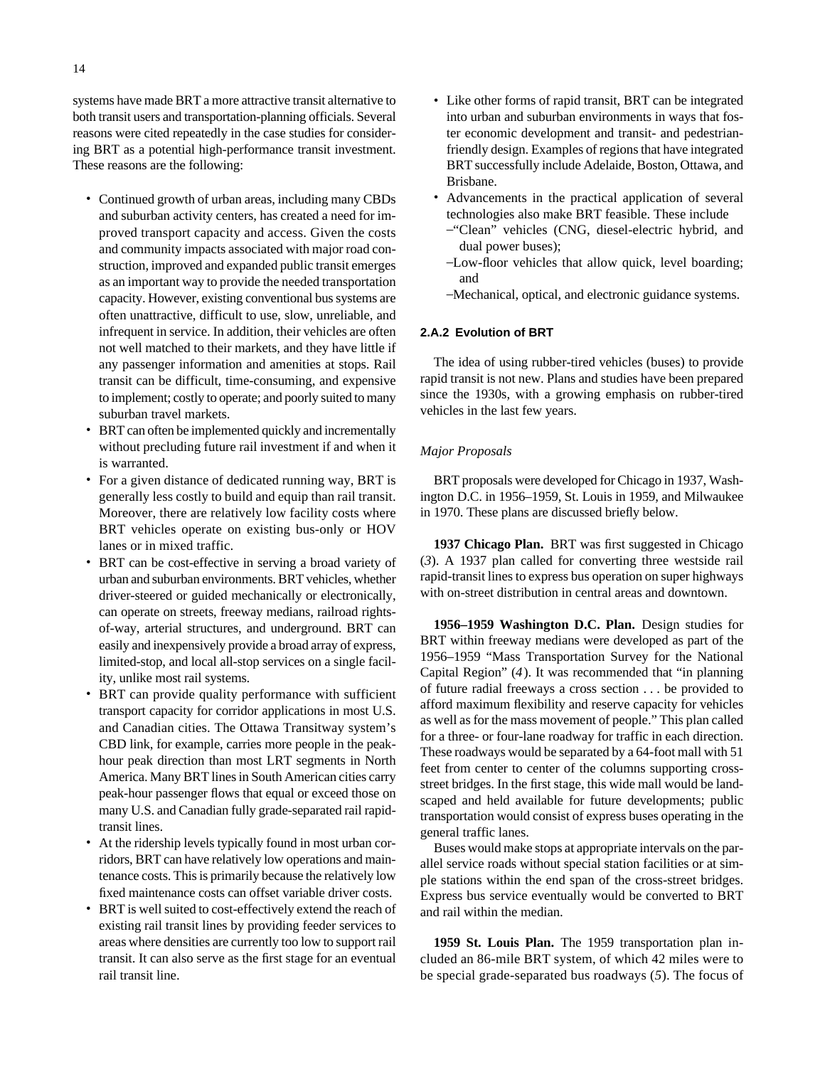systems have made BRT a more attractive transit alternative to both transit users and transportation-planning officials. Several reasons were cited repeatedly in the case studies for considering BRT as a potential high-performance transit investment. These reasons are the following:

- Continued growth of urban areas, including many CBDs and suburban activity centers, has created a need for improved transport capacity and access. Given the costs and community impacts associated with major road construction, improved and expanded public transit emerges as an important way to provide the needed transportation capacity. However, existing conventional bus systems are often unattractive, difficult to use, slow, unreliable, and infrequent in service. In addition, their vehicles are often not well matched to their markets, and they have little if any passenger information and amenities at stops. Rail transit can be difficult, time-consuming, and expensive to implement; costly to operate; and poorly suited to many suburban travel markets.
- BRT can often be implemented quickly and incrementally without precluding future rail investment if and when it is warranted.
- For a given distance of dedicated running way, BRT is generally less costly to build and equip than rail transit. Moreover, there are relatively low facility costs where BRT vehicles operate on existing bus-only or HOV lanes or in mixed traffic.
- BRT can be cost-effective in serving a broad variety of urban and suburban environments. BRT vehicles, whether driver-steered or guided mechanically or electronically, can operate on streets, freeway medians, railroad rightsof-way, arterial structures, and underground. BRT can easily and inexpensively provide a broad array of express, limited-stop, and local all-stop services on a single facility, unlike most rail systems.
- BRT can provide quality performance with sufficient transport capacity for corridor applications in most U.S. and Canadian cities. The Ottawa Transitway system's CBD link, for example, carries more people in the peakhour peak direction than most LRT segments in North America. Many BRT lines in South American cities carry peak-hour passenger flows that equal or exceed those on many U.S. and Canadian fully grade-separated rail rapidtransit lines.
- At the ridership levels typically found in most urban corridors, BRT can have relatively low operations and maintenance costs. This is primarily because the relatively low fixed maintenance costs can offset variable driver costs.
- BRT is well suited to cost-effectively extend the reach of existing rail transit lines by providing feeder services to areas where densities are currently too low to support rail transit. It can also serve as the first stage for an eventual rail transit line.
- Like other forms of rapid transit, BRT can be integrated into urban and suburban environments in ways that foster economic development and transit- and pedestrianfriendly design. Examples of regions that have integrated BRT successfully include Adelaide, Boston, Ottawa, and Brisbane.
- Advancements in the practical application of several technologies also make BRT feasible. These include
	- –"Clean" vehicles (CNG, diesel-electric hybrid, and dual power buses);
	- –Low-floor vehicles that allow quick, level boarding; and
	- –Mechanical, optical, and electronic guidance systems.

# **2.A.2 Evolution of BRT**

The idea of using rubber-tired vehicles (buses) to provide rapid transit is not new. Plans and studies have been prepared since the 1930s, with a growing emphasis on rubber-tired vehicles in the last few years.

#### *Major Proposals*

BRT proposals were developed for Chicago in 1937, Washington D.C. in 1956–1959, St. Louis in 1959, and Milwaukee in 1970. These plans are discussed briefly below.

**1937 Chicago Plan.** BRT was first suggested in Chicago (*3*). A 1937 plan called for converting three westside rail rapid-transit lines to express bus operation on super highways with on-street distribution in central areas and downtown.

**1956–1959 Washington D.C. Plan.** Design studies for BRT within freeway medians were developed as part of the 1956–1959 "Mass Transportation Survey for the National Capital Region" (*4*). It was recommended that "in planning of future radial freeways a cross section . . . be provided to afford maximum flexibility and reserve capacity for vehicles as well as for the mass movement of people." This plan called for a three- or four-lane roadway for traffic in each direction. These roadways would be separated by a 64-foot mall with 51 feet from center to center of the columns supporting crossstreet bridges. In the first stage, this wide mall would be landscaped and held available for future developments; public transportation would consist of express buses operating in the general traffic lanes.

Buses would make stops at appropriate intervals on the parallel service roads without special station facilities or at simple stations within the end span of the cross-street bridges. Express bus service eventually would be converted to BRT and rail within the median.

**1959 St. Louis Plan.** The 1959 transportation plan included an 86-mile BRT system, of which 42 miles were to be special grade-separated bus roadways (*5*). The focus of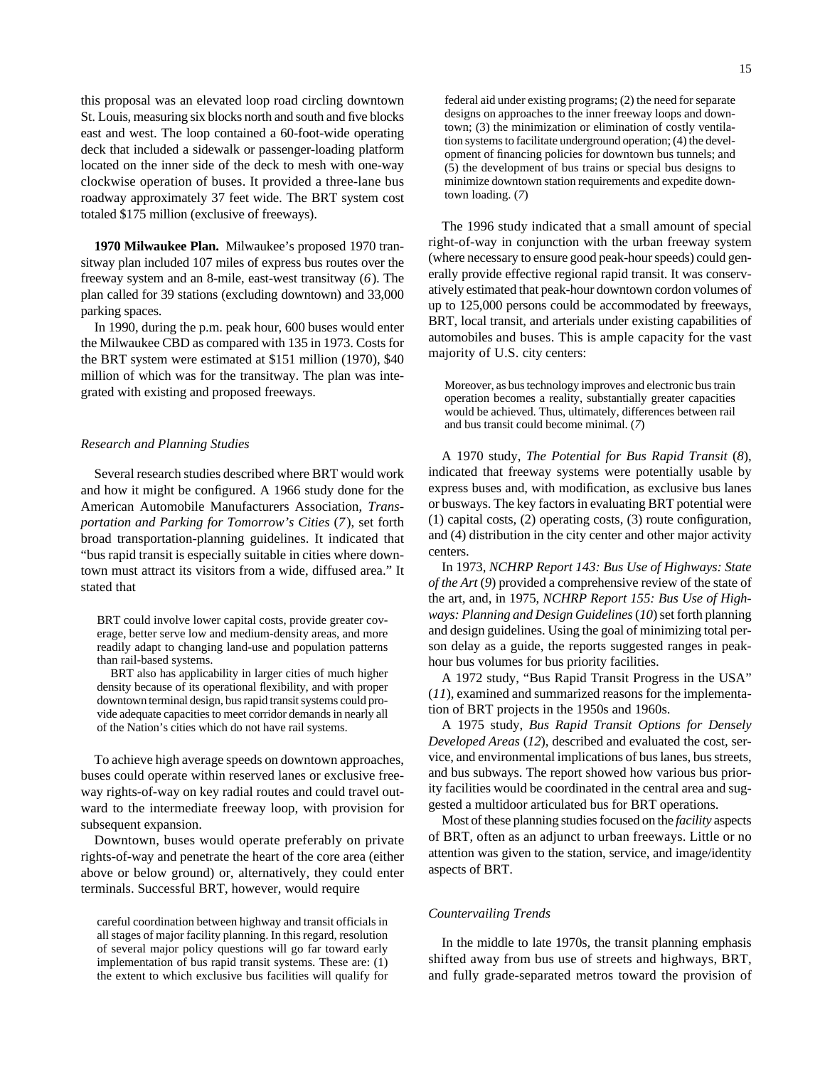this proposal was an elevated loop road circling downtown St. Louis, measuring six blocks north and south and five blocks east and west. The loop contained a 60-foot-wide operating deck that included a sidewalk or passenger-loading platform located on the inner side of the deck to mesh with one-way clockwise operation of buses. It provided a three-lane bus roadway approximately 37 feet wide. The BRT system cost totaled \$175 million (exclusive of freeways).

**1970 Milwaukee Plan.** Milwaukee's proposed 1970 transitway plan included 107 miles of express bus routes over the freeway system and an 8-mile, east-west transitway (*6*). The plan called for 39 stations (excluding downtown) and 33,000 parking spaces.

In 1990, during the p.m. peak hour, 600 buses would enter the Milwaukee CBD as compared with 135 in 1973. Costs for the BRT system were estimated at \$151 million (1970), \$40 million of which was for the transitway. The plan was integrated with existing and proposed freeways.

## *Research and Planning Studies*

Several research studies described where BRT would work and how it might be configured. A 1966 study done for the American Automobile Manufacturers Association, *Transportation and Parking for Tomorrow's Cities* (*7*), set forth broad transportation-planning guidelines. It indicated that "bus rapid transit is especially suitable in cities where downtown must attract its visitors from a wide, diffused area." It stated that

BRT could involve lower capital costs, provide greater coverage, better serve low and medium-density areas, and more readily adapt to changing land-use and population patterns than rail-based systems.

BRT also has applicability in larger cities of much higher density because of its operational flexibility, and with proper downtown terminal design, bus rapid transit systems could provide adequate capacities to meet corridor demands in nearly all of the Nation's cities which do not have rail systems.

To achieve high average speeds on downtown approaches, buses could operate within reserved lanes or exclusive freeway rights-of-way on key radial routes and could travel outward to the intermediate freeway loop, with provision for subsequent expansion.

Downtown, buses would operate preferably on private rights-of-way and penetrate the heart of the core area (either above or below ground) or, alternatively, they could enter terminals. Successful BRT, however, would require

careful coordination between highway and transit officials in all stages of major facility planning. In this regard, resolution of several major policy questions will go far toward early implementation of bus rapid transit systems. These are: (1) the extent to which exclusive bus facilities will qualify for

federal aid under existing programs; (2) the need for separate designs on approaches to the inner freeway loops and downtown; (3) the minimization or elimination of costly ventilation systems to facilitate underground operation; (4) the development of financing policies for downtown bus tunnels; and (5) the development of bus trains or special bus designs to minimize downtown station requirements and expedite downtown loading. (*7*)

The 1996 study indicated that a small amount of special right-of-way in conjunction with the urban freeway system (where necessary to ensure good peak-hour speeds) could generally provide effective regional rapid transit. It was conservatively estimated that peak-hour downtown cordon volumes of up to 125,000 persons could be accommodated by freeways, BRT, local transit, and arterials under existing capabilities of automobiles and buses. This is ample capacity for the vast majority of U.S. city centers:

Moreover, as bus technology improves and electronic bus train operation becomes a reality, substantially greater capacities would be achieved. Thus, ultimately, differences between rail and bus transit could become minimal. (*7*)

A 1970 study, *The Potential for Bus Rapid Transit* (*8*), indicated that freeway systems were potentially usable by express buses and, with modification, as exclusive bus lanes or busways. The key factors in evaluating BRT potential were (1) capital costs, (2) operating costs, (3) route configuration, and (4) distribution in the city center and other major activity centers.

In 1973, *NCHRP Report 143: Bus Use of Highways: State of the Art* (*9*) provided a comprehensive review of the state of the art, and, in 1975, *NCHRP Report 155: Bus Use of Highways: Planning and Design Guidelines*(*10*) set forth planning and design guidelines. Using the goal of minimizing total person delay as a guide, the reports suggested ranges in peakhour bus volumes for bus priority facilities.

A 1972 study, "Bus Rapid Transit Progress in the USA" (*11*), examined and summarized reasons for the implementation of BRT projects in the 1950s and 1960s.

A 1975 study, *Bus Rapid Transit Options for Densely Developed Areas* (*12*), described and evaluated the cost, service, and environmental implications of bus lanes, bus streets, and bus subways. The report showed how various bus priority facilities would be coordinated in the central area and suggested a multidoor articulated bus for BRT operations.

Most of these planning studies focused on the *facility* aspects of BRT, often as an adjunct to urban freeways. Little or no attention was given to the station, service, and image/identity aspects of BRT.

#### *Countervailing Trends*

In the middle to late 1970s, the transit planning emphasis shifted away from bus use of streets and highways, BRT, and fully grade-separated metros toward the provision of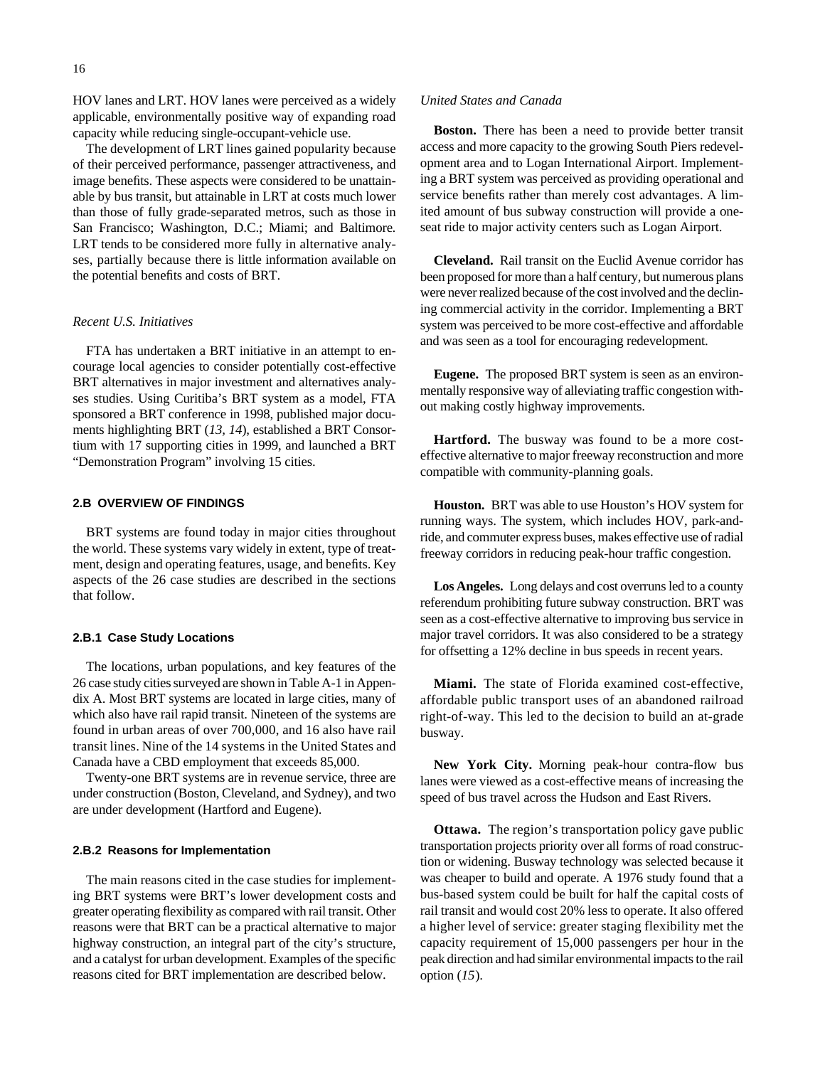HOV lanes and LRT. HOV lanes were perceived as a widely applicable, environmentally positive way of expanding road capacity while reducing single-occupant-vehicle use.

The development of LRT lines gained popularity because of their perceived performance, passenger attractiveness, and image benefits. These aspects were considered to be unattainable by bus transit, but attainable in LRT at costs much lower than those of fully grade-separated metros, such as those in San Francisco; Washington, D.C.; Miami; and Baltimore*.* LRT tends to be considered more fully in alternative analyses, partially because there is little information available on the potential benefits and costs of BRT.

## *Recent U.S. Initiatives*

FTA has undertaken a BRT initiative in an attempt to encourage local agencies to consider potentially cost-effective BRT alternatives in major investment and alternatives analyses studies. Using Curitiba's BRT system as a model, FTA sponsored a BRT conference in 1998, published major documents highlighting BRT (*13, 14*), established a BRT Consortium with 17 supporting cities in 1999, and launched a BRT "Demonstration Program" involving 15 cities.

## **2.B OVERVIEW OF FINDINGS**

BRT systems are found today in major cities throughout the world. These systems vary widely in extent, type of treatment, design and operating features, usage, and benefits. Key aspects of the 26 case studies are described in the sections that follow.

#### **2.B.1 Case Study Locations**

The locations, urban populations, and key features of the 26 case study cities surveyed are shown in Table A-1 in Appendix A. Most BRT systems are located in large cities, many of which also have rail rapid transit. Nineteen of the systems are found in urban areas of over 700,000, and 16 also have rail transit lines. Nine of the 14 systems in the United States and Canada have a CBD employment that exceeds 85,000.

Twenty-one BRT systems are in revenue service, three are under construction (Boston, Cleveland, and Sydney), and two are under development (Hartford and Eugene).

#### **2.B.2 Reasons for Implementation**

The main reasons cited in the case studies for implementing BRT systems were BRT's lower development costs and greater operating flexibility as compared with rail transit. Other reasons were that BRT can be a practical alternative to major highway construction, an integral part of the city's structure, and a catalyst for urban development. Examples of the specific reasons cited for BRT implementation are described below.

#### *United States and Canada*

**Boston.** There has been a need to provide better transit access and more capacity to the growing South Piers redevelopment area and to Logan International Airport. Implementing a BRT system was perceived as providing operational and service benefits rather than merely cost advantages. A limited amount of bus subway construction will provide a oneseat ride to major activity centers such as Logan Airport.

**Cleveland.** Rail transit on the Euclid Avenue corridor has been proposed for more than a half century, but numerous plans were never realized because of the cost involved and the declining commercial activity in the corridor. Implementing a BRT system was perceived to be more cost-effective and affordable and was seen as a tool for encouraging redevelopment.

**Eugene.** The proposed BRT system is seen as an environmentally responsive way of alleviating traffic congestion without making costly highway improvements.

**Hartford.** The busway was found to be a more costeffective alternative to major freeway reconstruction and more compatible with community-planning goals.

**Houston.** BRT was able to use Houston's HOV system for running ways. The system, which includes HOV, park-andride, and commuter express buses, makes effective use of radial freeway corridors in reducing peak-hour traffic congestion.

**Los Angeles.** Long delays and cost overruns led to a county referendum prohibiting future subway construction. BRT was seen as a cost-effective alternative to improving bus service in major travel corridors. It was also considered to be a strategy for offsetting a 12% decline in bus speeds in recent years.

**Miami.** The state of Florida examined cost-effective, affordable public transport uses of an abandoned railroad right-of-way. This led to the decision to build an at-grade busway.

**New York City.** Morning peak-hour contra-flow bus lanes were viewed as a cost-effective means of increasing the speed of bus travel across the Hudson and East Rivers.

**Ottawa.** The region's transportation policy gave public transportation projects priority over all forms of road construction or widening. Busway technology was selected because it was cheaper to build and operate. A 1976 study found that a bus-based system could be built for half the capital costs of rail transit and would cost 20% less to operate. It also offered a higher level of service: greater staging flexibility met the capacity requirement of 15,000 passengers per hour in the peak direction and had similar environmental impacts to the rail option (*15*).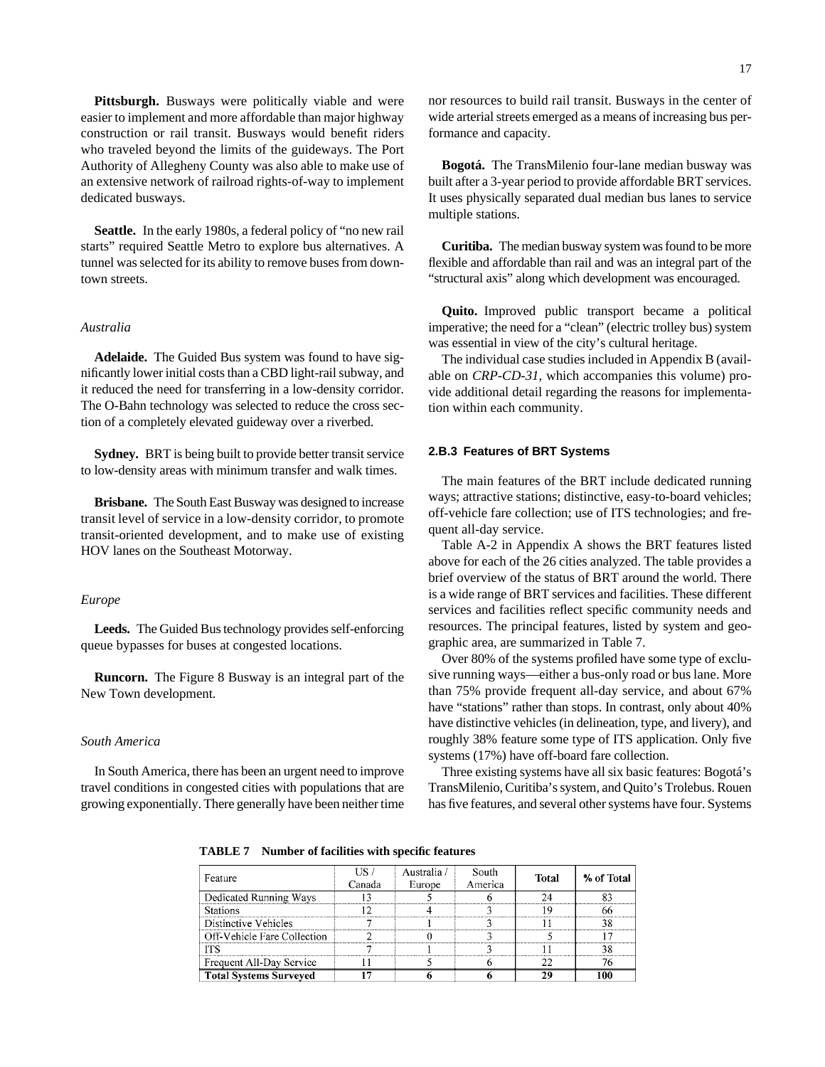**Pittsburgh.** Busways were politically viable and were easier to implement and more affordable than major highway construction or rail transit. Busways would benefit riders who traveled beyond the limits of the guideways. The Port Authority of Allegheny County was also able to make use of an extensive network of railroad rights-of-way to implement dedicated busways.

**Seattle.** In the early 1980s, a federal policy of "no new rail starts" required Seattle Metro to explore bus alternatives. A tunnel was selected for its ability to remove buses from downtown streets.

#### *Australia*

**Adelaide.** The Guided Bus system was found to have significantly lower initial costs than a CBD light-rail subway, and it reduced the need for transferring in a low-density corridor. The O-Bahn technology was selected to reduce the cross section of a completely elevated guideway over a riverbed.

**Sydney.** BRT is being built to provide better transit service to low-density areas with minimum transfer and walk times.

**Brisbane.** The South East Busway was designed to increase transit level of service in a low-density corridor, to promote transit-oriented development, and to make use of existing HOV lanes on the Southeast Motorway.

#### *Europe*

**Leeds.** The Guided Bus technology provides self-enforcing queue bypasses for buses at congested locations.

**Runcorn.** The Figure 8 Busway is an integral part of the New Town development.

## *South America*

In South America, there has been an urgent need to improve travel conditions in congested cities with populations that are growing exponentially. There generally have been neither time nor resources to build rail transit. Busways in the center of wide arterial streets emerged as a means of increasing bus performance and capacity.

**Bogotá.** The TransMilenio four-lane median busway was built after a 3-year period to provide affordable BRT services. It uses physically separated dual median bus lanes to service multiple stations.

**Curitiba.** The median busway system was found to be more flexible and affordable than rail and was an integral part of the "structural axis" along which development was encouraged.

**Quito.** Improved public transport became a political imperative; the need for a "clean" (electric trolley bus) system was essential in view of the city's cultural heritage.

The individual case studies included in Appendix B (available on *CRP-CD-31,* which accompanies this volume) provide additional detail regarding the reasons for implementation within each community.

## **2.B.3 Features of BRT Systems**

The main features of the BRT include dedicated running ways; attractive stations; distinctive, easy-to-board vehicles; off-vehicle fare collection; use of ITS technologies; and frequent all-day service.

Table A-2 in Appendix A shows the BRT features listed above for each of the 26 cities analyzed. The table provides a brief overview of the status of BRT around the world. There is a wide range of BRT services and facilities. These different services and facilities reflect specific community needs and resources. The principal features, listed by system and geographic area, are summarized in Table 7.

Over 80% of the systems profiled have some type of exclusive running ways—either a bus-only road or bus lane. More than 75% provide frequent all-day service, and about 67% have "stations" rather than stops. In contrast, only about 40% have distinctive vehicles (in delineation, type, and livery), and roughly 38% feature some type of ITS application. Only five systems (17%) have off-board fare collection.

Three existing systems have all six basic features: Bogotá's TransMilenio, Curitiba's system, and Quito's Trolebus. Rouen has five features, and several other systems have four. Systems

**TABLE 7 Number of facilities with specific features**

| Feature                       | US /<br>Canada | Australia /<br>Europe | South.<br>America | Total | % of Total |
|-------------------------------|----------------|-----------------------|-------------------|-------|------------|
| Dedicated Running Ways        |                |                       |                   |       |            |
| <b>Stations</b>               |                |                       |                   |       |            |
| Distinctive Vehicles          |                |                       |                   |       |            |
| Off-Vehicle Fare Collection   |                |                       |                   |       |            |
|                               |                |                       |                   |       |            |
| Frequent All-Day Service      |                |                       |                   |       |            |
| <b>Total Systems Surveyed</b> |                |                       |                   |       |            |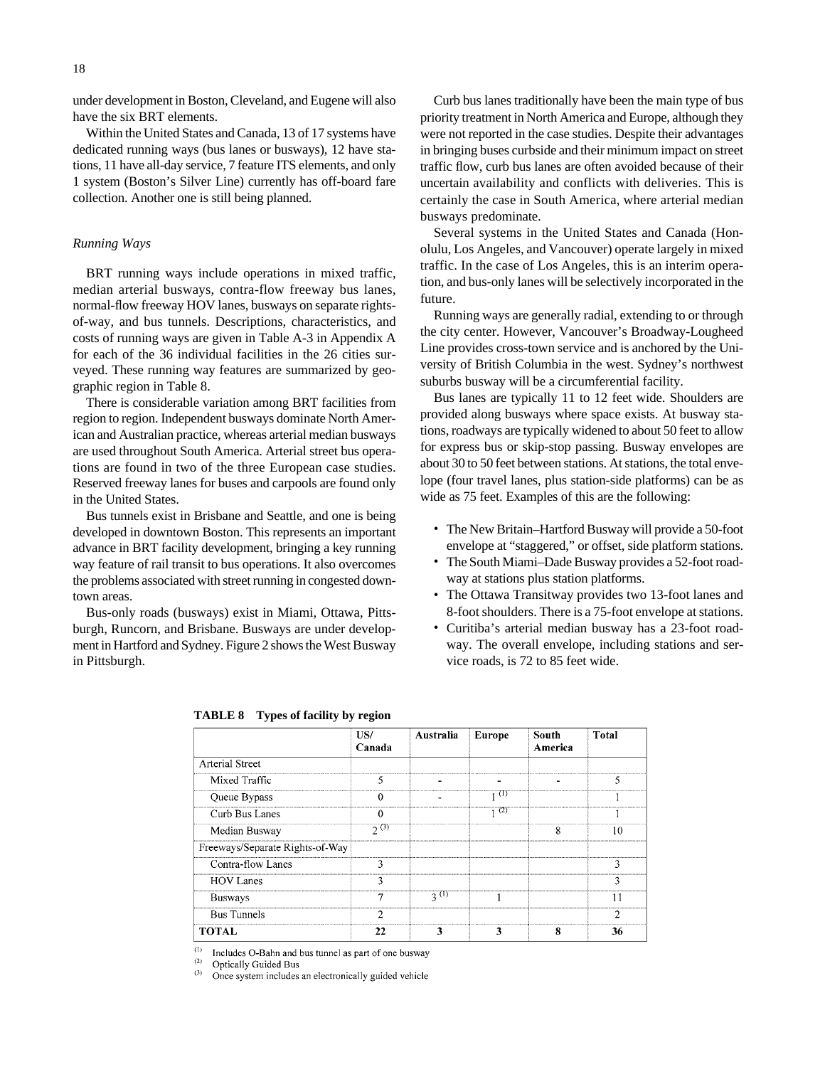under development in Boston, Cleveland, and Eugene will also have the six BRT elements.

Within the United States and Canada, 13 of 17 systems have dedicated running ways (bus lanes or busways), 12 have stations, 11 have all-day service, 7 feature ITS elements, and only 1 system (Boston's Silver Line) currently has off-board fare collection. Another one is still being planned.

#### *Running Ways*

BRT running ways include operations in mixed traffic, median arterial busways, contra-flow freeway bus lanes, normal-flow freeway HOV lanes, busways on separate rightsof-way, and bus tunnels. Descriptions, characteristics, and costs of running ways are given in Table A-3 in Appendix A for each of the 36 individual facilities in the 26 cities surveyed. These running way features are summarized by geographic region in Table 8.

There is considerable variation among BRT facilities from region to region. Independent busways dominate North American and Australian practice, whereas arterial median busways are used throughout South America. Arterial street bus operations are found in two of the three European case studies. Reserved freeway lanes for buses and carpools are found only in the United States.

Bus tunnels exist in Brisbane and Seattle, and one is being developed in downtown Boston. This represents an important advance in BRT facility development, bringing a key running way feature of rail transit to bus operations. It also overcomes the problems associated with street running in congested downtown areas.

Bus-only roads (busways) exist in Miami, Ottawa, Pittsburgh, Runcorn, and Brisbane. Busways are under development in Hartford and Sydney. Figure 2 shows the West Busway in Pittsburgh.

Curb bus lanes traditionally have been the main type of bus priority treatment in North America and Europe, although they were not reported in the case studies. Despite their advantages in bringing buses curbside and their minimum impact on street traffic flow, curb bus lanes are often avoided because of their uncertain availability and conflicts with deliveries. This is certainly the case in South America, where arterial median busways predominate.

Several systems in the United States and Canada (Honolulu, Los Angeles, and Vancouver) operate largely in mixed traffic. In the case of Los Angeles, this is an interim operation, and bus-only lanes will be selectively incorporated in the future.

Running ways are generally radial, extending to or through the city center. However, Vancouver's Broadway-Lougheed Line provides cross-town service and is anchored by the University of British Columbia in the west. Sydney's northwest suburbs busway will be a circumferential facility.

Bus lanes are typically 11 to 12 feet wide. Shoulders are provided along busways where space exists. At busway stations, roadways are typically widened to about 50 feet to allow for express bus or skip-stop passing. Busway envelopes are about 30 to 50 feet between stations. At stations, the total envelope (four travel lanes, plus station-side platforms) can be as wide as 75 feet. Examples of this are the following:

- The New Britain–Hartford Busway will provide a 50-foot envelope at "staggered," or offset, side platform stations.
- The South Miami–Dade Busway provides a 52-foot roadway at stations plus station platforms.
- The Ottawa Transitway provides two 13-foot lanes and 8-foot shoulders. There is a 75-foot envelope at stations.
- Curitiba's arterial median busway has a 23-foot roadway. The overall envelope, including stations and service roads, is 72 to 85 feet wide.

|                                 | US/<br>Canada | Australia | <b>Europe</b> | South<br>America | Total |
|---------------------------------|---------------|-----------|---------------|------------------|-------|
| <b>Arterial Street</b>          |               |           |               |                  |       |
| Mixed Traffic                   | ∍             |           |               |                  |       |
| Queue Bypass                    | 0             |           | - (1)         |                  |       |
| Curb Bus Lanes                  |               |           | - (4)         |                  |       |
| Median Busway                   | 2(3)          |           |               |                  | Ю     |
| Freeways/Separate Rights-of-Way |               |           |               |                  |       |
| Contra-flow Lanes               |               |           |               |                  |       |
| <b>HOV Lanes</b>                |               |           |               |                  |       |
| <b>Busways</b>                  |               | $3^{(1)}$ |               |                  |       |
| <b>Bus Tunnels</b>              |               |           |               |                  |       |
| <b>TOTAL</b>                    | 22            | 4         | З             | x                | 36    |

**TABLE 8 Types of facility by region**

 $\alpha$  Includes O-Bahn and bus tunnel as part of one busway  $(2)$ 

**Optically Guided Bus** 

 $(3)$ Once system includes an electronically guided vehicle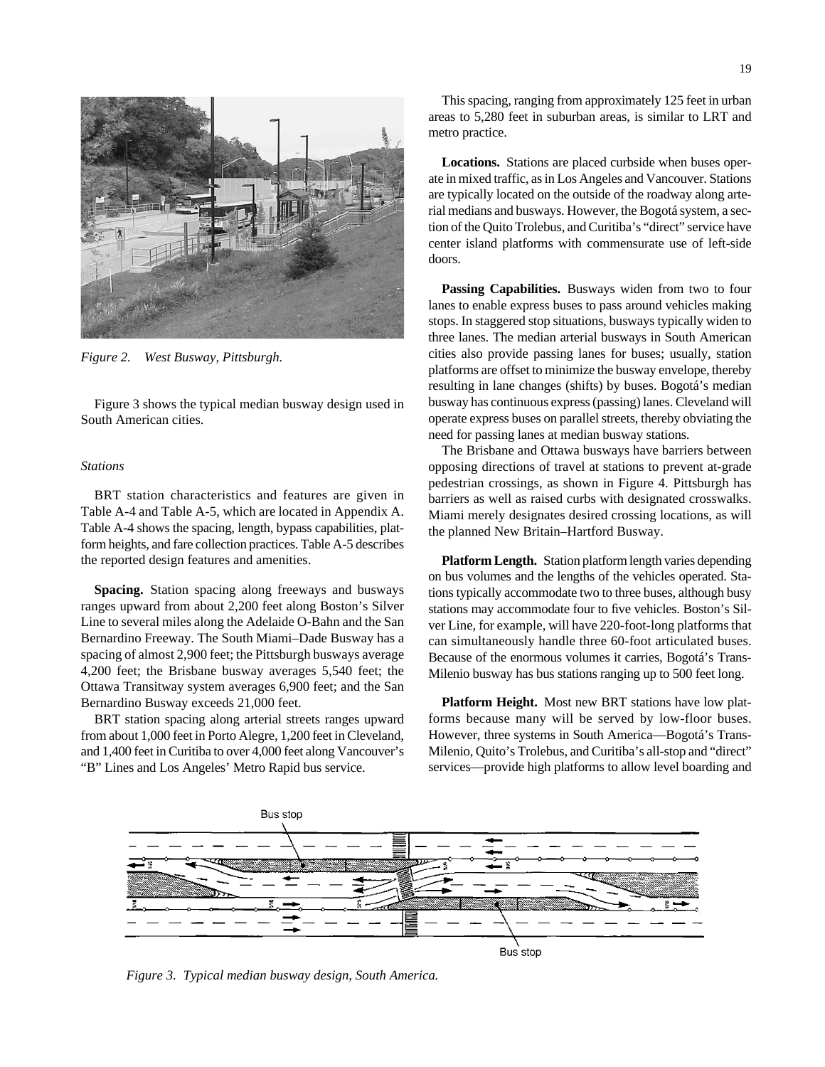

*Figure 2. West Busway, Pittsburgh.*

Figure 3 shows the typical median busway design used in South American cities.

#### *Stations*

BRT station characteristics and features are given in Table A-4 and Table A-5, which are located in Appendix A. Table A-4 shows the spacing, length, bypass capabilities, platform heights, and fare collection practices. Table A-5 describes the reported design features and amenities.

**Spacing.** Station spacing along freeways and busways ranges upward from about 2,200 feet along Boston's Silver Line to several miles along the Adelaide O-Bahn and the San Bernardino Freeway. The South Miami–Dade Busway has a spacing of almost 2,900 feet; the Pittsburgh busways average 4,200 feet; the Brisbane busway averages 5,540 feet; the Ottawa Transitway system averages 6,900 feet; and the San Bernardino Busway exceeds 21,000 feet.

BRT station spacing along arterial streets ranges upward from about 1,000 feet in Porto Alegre, 1,200 feet in Cleveland, and 1,400 feet in Curitiba to over 4,000 feet along Vancouver's "B" Lines and Los Angeles' Metro Rapid bus service.

This spacing, ranging from approximately 125 feet in urban areas to 5,280 feet in suburban areas, is similar to LRT and metro practice.

**Locations.** Stations are placed curbside when buses operate in mixed traffic, as in Los Angeles and Vancouver. Stations are typically located on the outside of the roadway along arterial medians and busways. However, the Bogotá system, a section of the Quito Trolebus, and Curitiba's "direct" service have center island platforms with commensurate use of left-side doors.

**Passing Capabilities.** Busways widen from two to four lanes to enable express buses to pass around vehicles making stops. In staggered stop situations, busways typically widen to three lanes. The median arterial busways in South American cities also provide passing lanes for buses; usually, station platforms are offset to minimize the busway envelope, thereby resulting in lane changes (shifts) by buses. Bogotá's median busway has continuous express (passing) lanes. Cleveland will operate express buses on parallel streets, thereby obviating the need for passing lanes at median busway stations.

The Brisbane and Ottawa busways have barriers between opposing directions of travel at stations to prevent at-grade pedestrian crossings, as shown in Figure 4. Pittsburgh has barriers as well as raised curbs with designated crosswalks. Miami merely designates desired crossing locations, as will the planned New Britain–Hartford Busway.

**Platform Length.** Station platform length varies depending on bus volumes and the lengths of the vehicles operated. Stations typically accommodate two to three buses, although busy stations may accommodate four to five vehicles. Boston's Silver Line, for example, will have 220-foot-long platforms that can simultaneously handle three 60-foot articulated buses. Because of the enormous volumes it carries, Bogotá's Trans-Milenio busway has bus stations ranging up to 500 feet long.

**Platform Height.** Most new BRT stations have low platforms because many will be served by low-floor buses. However, three systems in South America—Bogotá's Trans-Milenio, Quito's Trolebus, and Curitiba's all-stop and "direct" services—provide high platforms to allow level boarding and



*Figure 3. Typical median busway design, South America.*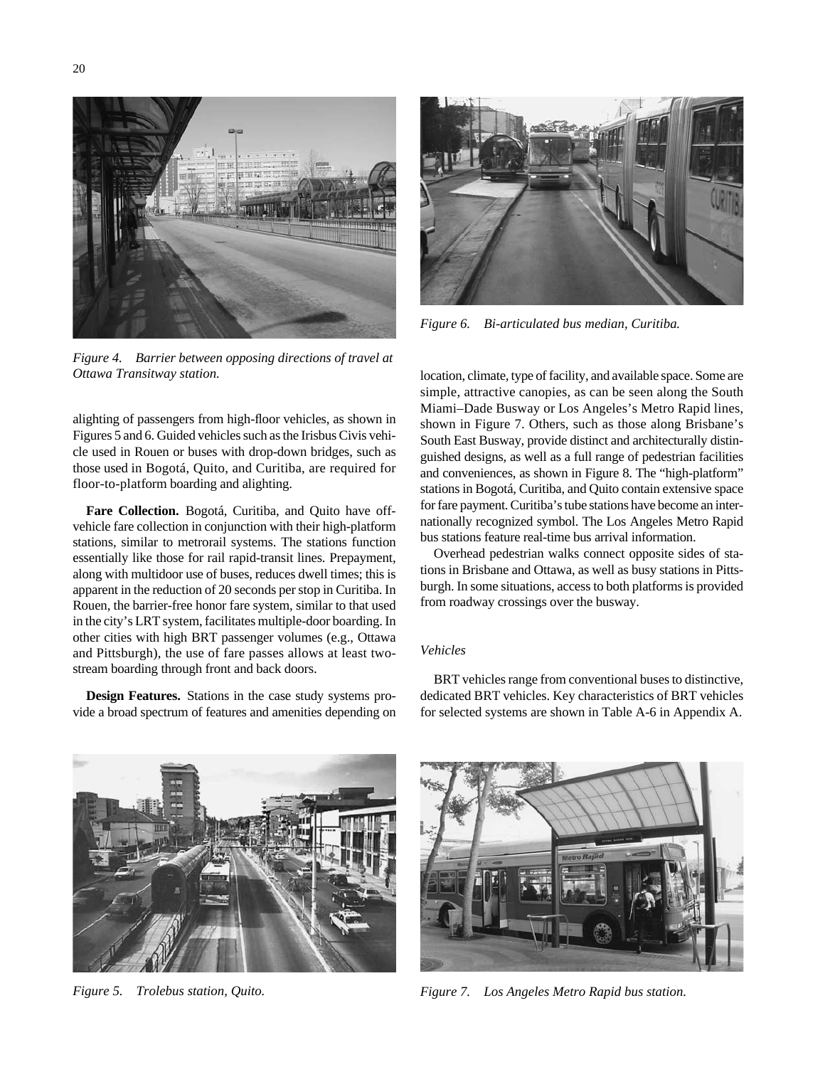*Figure 4. Barrier between opposing directions of travel at Ottawa Transitway station.*

alighting of passengers from high-floor vehicles, as shown in Figures 5 and 6. Guided vehicles such as the Irisbus Civis vehicle used in Rouen or buses with drop-down bridges, such as those used in Bogotá, Quito, and Curitiba, are required for floor-to-platform boarding and alighting.

**Fare Collection.** Bogotá, Curitiba, and Quito have offvehicle fare collection in conjunction with their high-platform stations, similar to metrorail systems. The stations function essentially like those for rail rapid-transit lines. Prepayment, along with multidoor use of buses, reduces dwell times; this is apparent in the reduction of 20 seconds per stop in Curitiba. In Rouen, the barrier-free honor fare system, similar to that used in the city's LRT system, facilitates multiple-door boarding. In other cities with high BRT passenger volumes (e.g., Ottawa and Pittsburgh), the use of fare passes allows at least twostream boarding through front and back doors.

**Design Features.** Stations in the case study systems provide a broad spectrum of features and amenities depending on location, climate, type of facility, and available space. Some are simple, attractive canopies, as can be seen along the South Miami–Dade Busway or Los Angeles's Metro Rapid lines, shown in Figure 7. Others, such as those along Brisbane's South East Busway, provide distinct and architecturally distinguished designs, as well as a full range of pedestrian facilities and conveniences, as shown in Figure 8. The "high-platform" stations in Bogotá, Curitiba, and Quito contain extensive space for fare payment. Curitiba's tube stations have become an internationally recognized symbol. The Los Angeles Metro Rapid bus stations feature real-time bus arrival information.

*Figure 6. Bi-articulated bus median, Curitiba.*

Overhead pedestrian walks connect opposite sides of stations in Brisbane and Ottawa, as well as busy stations in Pittsburgh. In some situations, access to both platforms is provided from roadway crossings over the busway.

#### *Vehicles*

BRT vehicles range from conventional buses to distinctive, dedicated BRT vehicles. Key characteristics of BRT vehicles for selected systems are shown in Table A-6 in Appendix A.

*Figure 5. Trolebus station, Quito.*



*Figure 7. Los Angeles Metro Rapid bus station.*

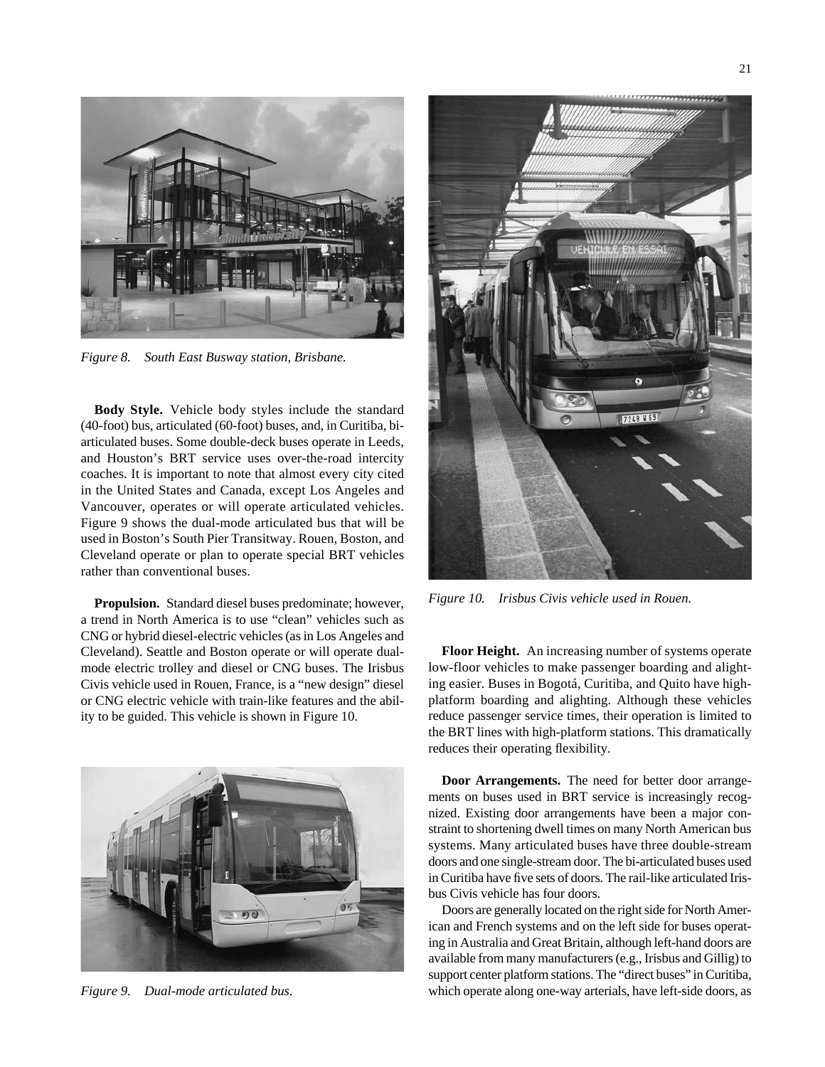

*Figure 8. South East Busway station, Brisbane.*

**Body Style.** Vehicle body styles include the standard (40-foot) bus, articulated (60-foot) buses, and, in Curitiba, biarticulated buses. Some double-deck buses operate in Leeds, and Houston's BRT service uses over-the-road intercity coaches. It is important to note that almost every city cited in the United States and Canada, except Los Angeles and Vancouver, operates or will operate articulated vehicles. Figure 9 shows the dual-mode articulated bus that will be used in Boston's South Pier Transitway. Rouen, Boston, and Cleveland operate or plan to operate special BRT vehicles rather than conventional buses.

**Propulsion.** Standard diesel buses predominate; however, a trend in North America is to use "clean" vehicles such as CNG or hybrid diesel-electric vehicles (as in Los Angeles and Cleveland). Seattle and Boston operate or will operate dualmode electric trolley and diesel or CNG buses. The Irisbus Civis vehicle used in Rouen, France, is a "new design" diesel or CNG electric vehicle with train-like features and the ability to be guided. This vehicle is shown in Figure 10.



*Figure 9. Dual-mode articulated bus.*



*Figure 10. Irisbus Civis vehicle used in Rouen.*

**Floor Height.** An increasing number of systems operate low-floor vehicles to make passenger boarding and alighting easier. Buses in Bogotá, Curitiba, and Quito have highplatform boarding and alighting. Although these vehicles reduce passenger service times, their operation is limited to the BRT lines with high-platform stations. This dramatically reduces their operating flexibility.

**Door Arrangements.** The need for better door arrangements on buses used in BRT service is increasingly recognized. Existing door arrangements have been a major constraint to shortening dwell times on many North American bus systems. Many articulated buses have three double-stream doors and one single-stream door. The bi-articulated buses used in Curitiba have five sets of doors. The rail-like articulated Irisbus Civis vehicle has four doors.

Doors are generally located on the right side for North American and French systems and on the left side for buses operating in Australia and Great Britain, although left-hand doors are available from many manufacturers (e.g., Irisbus and Gillig) to support center platform stations. The "direct buses" in Curitiba, which operate along one-way arterials, have left-side doors, as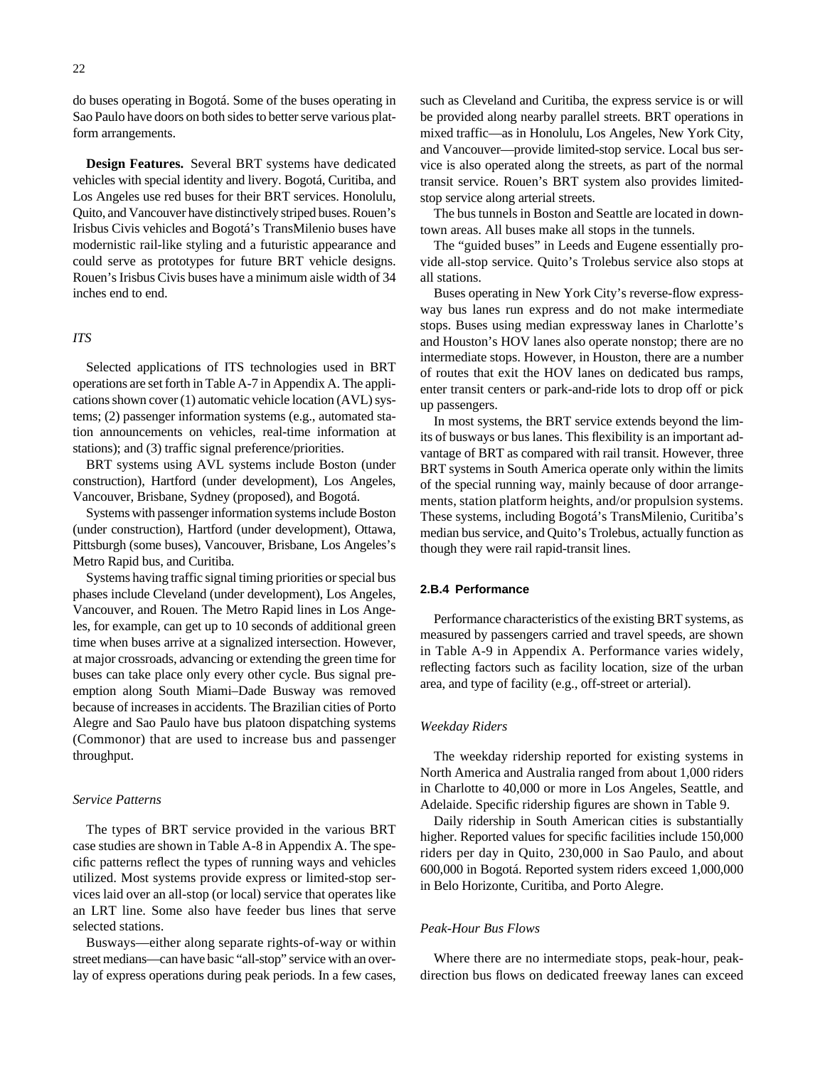do buses operating in Bogotá. Some of the buses operating in Sao Paulo have doors on both sides to better serve various platform arrangements.

**Design Features.** Several BRT systems have dedicated vehicles with special identity and livery. Bogotá, Curitiba, and Los Angeles use red buses for their BRT services. Honolulu, Quito, and Vancouver have distinctively striped buses. Rouen's Irisbus Civis vehicles and Bogotá's TransMilenio buses have modernistic rail-like styling and a futuristic appearance and could serve as prototypes for future BRT vehicle designs. Rouen's Irisbus Civis buses have a minimum aisle width of 34 inches end to end.

## *ITS*

Selected applications of ITS technologies used in BRT operations are set forth in Table A-7 in Appendix A. The applications shown cover (1) automatic vehicle location (AVL) systems; (2) passenger information systems (e.g., automated station announcements on vehicles, real-time information at stations); and (3) traffic signal preference/priorities.

BRT systems using AVL systems include Boston (under construction), Hartford (under development), Los Angeles, Vancouver, Brisbane, Sydney (proposed), and Bogotá.

Systems with passenger information systems include Boston (under construction), Hartford (under development), Ottawa, Pittsburgh (some buses), Vancouver, Brisbane, Los Angeles's Metro Rapid bus, and Curitiba.

Systems having traffic signal timing priorities or special bus phases include Cleveland (under development), Los Angeles, Vancouver, and Rouen. The Metro Rapid lines in Los Angeles, for example, can get up to 10 seconds of additional green time when buses arrive at a signalized intersection. However, at major crossroads, advancing or extending the green time for buses can take place only every other cycle. Bus signal preemption along South Miami–Dade Busway was removed because of increases in accidents. The Brazilian cities of Porto Alegre and Sao Paulo have bus platoon dispatching systems (Commonor) that are used to increase bus and passenger throughput.

#### *Service Patterns*

The types of BRT service provided in the various BRT case studies are shown in Table A-8 in Appendix A. The specific patterns reflect the types of running ways and vehicles utilized. Most systems provide express or limited-stop services laid over an all-stop (or local) service that operates like an LRT line. Some also have feeder bus lines that serve selected stations.

Busways—either along separate rights-of-way or within street medians—can have basic "all-stop" service with an overlay of express operations during peak periods. In a few cases, such as Cleveland and Curitiba, the express service is or will be provided along nearby parallel streets. BRT operations in mixed traffic—as in Honolulu, Los Angeles, New York City, and Vancouver—provide limited-stop service. Local bus service is also operated along the streets, as part of the normal transit service. Rouen's BRT system also provides limitedstop service along arterial streets.

The bus tunnels in Boston and Seattle are located in downtown areas. All buses make all stops in the tunnels.

The "guided buses" in Leeds and Eugene essentially provide all-stop service. Quito's Trolebus service also stops at all stations.

Buses operating in New York City's reverse-flow expressway bus lanes run express and do not make intermediate stops. Buses using median expressway lanes in Charlotte's and Houston's HOV lanes also operate nonstop; there are no intermediate stops. However, in Houston, there are a number of routes that exit the HOV lanes on dedicated bus ramps, enter transit centers or park-and-ride lots to drop off or pick up passengers.

In most systems, the BRT service extends beyond the limits of busways or bus lanes. This flexibility is an important advantage of BRT as compared with rail transit. However, three BRT systems in South America operate only within the limits of the special running way, mainly because of door arrangements, station platform heights, and/or propulsion systems. These systems, including Bogotá's TransMilenio, Curitiba's median bus service, and Quito's Trolebus, actually function as though they were rail rapid-transit lines.

### **2.B.4 Performance**

Performance characteristics of the existing BRT systems, as measured by passengers carried and travel speeds, are shown in Table A-9 in Appendix A. Performance varies widely, reflecting factors such as facility location, size of the urban area, and type of facility (e.g., off-street or arterial).

#### *Weekday Riders*

The weekday ridership reported for existing systems in North America and Australia ranged from about 1,000 riders in Charlotte to 40,000 or more in Los Angeles, Seattle, and Adelaide. Specific ridership figures are shown in Table 9.

Daily ridership in South American cities is substantially higher. Reported values for specific facilities include 150,000 riders per day in Quito, 230,000 in Sao Paulo, and about 600,000 in Bogotá. Reported system riders exceed 1,000,000 in Belo Horizonte, Curitiba, and Porto Alegre.

#### *Peak-Hour Bus Flows*

Where there are no intermediate stops, peak-hour, peakdirection bus flows on dedicated freeway lanes can exceed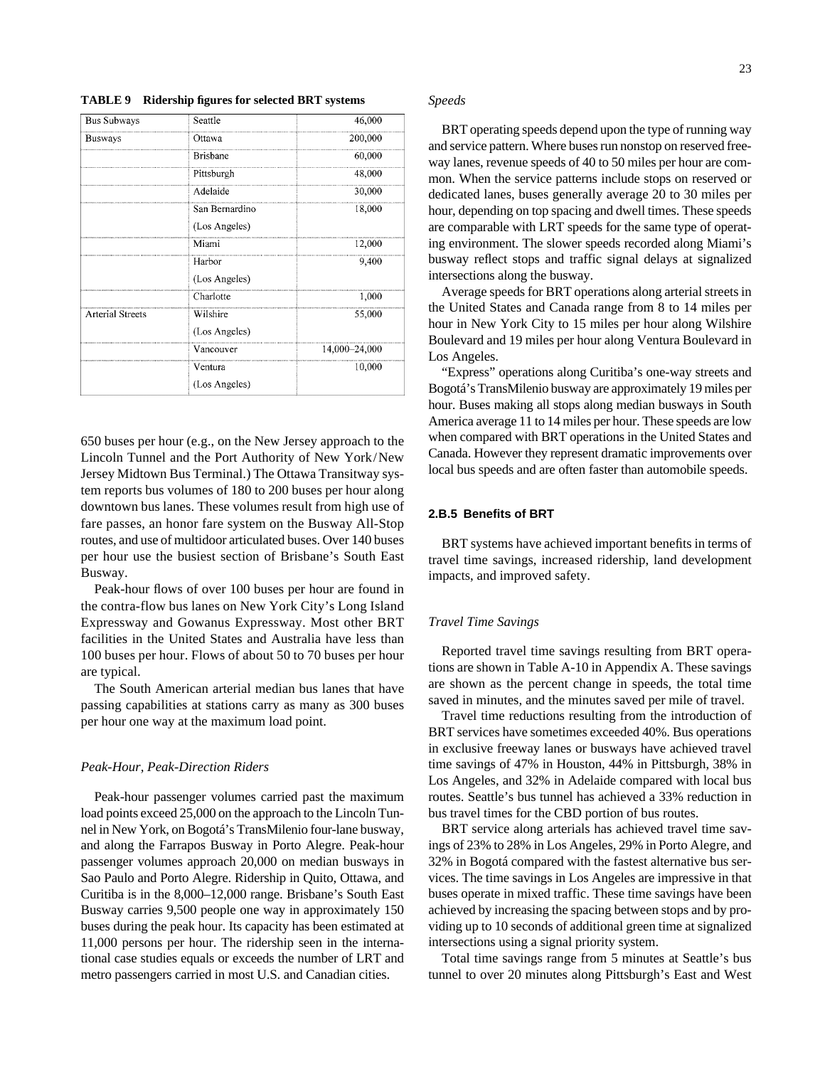| <b>Bus Subways</b>      | Seattle         | 46,000        |
|-------------------------|-----------------|---------------|
| <b>Busways</b>          | Ottawa          | 200,000       |
|                         | <b>Brisbane</b> | 60,000        |
|                         | Pittsburgh      | 48,000        |
|                         | Adelaide        | 30,000        |
|                         | San Bernardino  | 18,000        |
|                         | (Los Angeles)   |               |
|                         | Miami           | 12,000        |
|                         | Harbor          | 9,400         |
|                         | (Los Angeles)   |               |
|                         | Charlotte       | 1,000         |
| <b>Arterial Streets</b> | Wilshire        | 55,000        |
|                         | (Los Angeles)   |               |
|                         | Vancouver       | 14,000-24,000 |
|                         | Ventura         | 10,000        |
|                         | (Los Angeles)   |               |
|                         |                 |               |

**TABLE 9 Ridership figures for selected BRT systems**

 $\overline{a}$ 

650 buses per hour (e.g., on the New Jersey approach to the Lincoln Tunnel and the Port Authority of New York/New Jersey Midtown Bus Terminal.) The Ottawa Transitway system reports bus volumes of 180 to 200 buses per hour along downtown bus lanes. These volumes result from high use of fare passes, an honor fare system on the Busway All-Stop routes, and use of multidoor articulated buses. Over 140 buses per hour use the busiest section of Brisbane's South East Busway.

Peak-hour flows of over 100 buses per hour are found in the contra-flow bus lanes on New York City's Long Island Expressway and Gowanus Expressway. Most other BRT facilities in the United States and Australia have less than 100 buses per hour. Flows of about 50 to 70 buses per hour are typical.

The South American arterial median bus lanes that have passing capabilities at stations carry as many as 300 buses per hour one way at the maximum load point.

#### *Peak-Hour, Peak-Direction Riders*

Peak-hour passenger volumes carried past the maximum load points exceed 25,000 on the approach to the Lincoln Tunnel in New York, on Bogotá's TransMilenio four-lane busway, and along the Farrapos Busway in Porto Alegre. Peak-hour passenger volumes approach 20,000 on median busways in Sao Paulo and Porto Alegre. Ridership in Quito, Ottawa, and Curitiba is in the 8,000–12,000 range. Brisbane's South East Busway carries 9,500 people one way in approximately 150 buses during the peak hour. Its capacity has been estimated at 11,000 persons per hour. The ridership seen in the international case studies equals or exceeds the number of LRT and metro passengers carried in most U.S. and Canadian cities.

#### *Speeds*

BRT operating speeds depend upon the type of running way and service pattern. Where buses run nonstop on reserved freeway lanes, revenue speeds of 40 to 50 miles per hour are common. When the service patterns include stops on reserved or dedicated lanes, buses generally average 20 to 30 miles per hour, depending on top spacing and dwell times. These speeds are comparable with LRT speeds for the same type of operating environment. The slower speeds recorded along Miami's busway reflect stops and traffic signal delays at signalized intersections along the busway.

Average speeds for BRT operations along arterial streets in the United States and Canada range from 8 to 14 miles per hour in New York City to 15 miles per hour along Wilshire Boulevard and 19 miles per hour along Ventura Boulevard in Los Angeles.

"Express" operations along Curitiba's one-way streets and Bogotá's TransMilenio busway are approximately 19 miles per hour. Buses making all stops along median busways in South America average 11 to 14 miles per hour. These speeds are low when compared with BRT operations in the United States and Canada. However they represent dramatic improvements over local bus speeds and are often faster than automobile speeds.

#### **2.B.5 Benefits of BRT**

BRT systems have achieved important benefits in terms of travel time savings, increased ridership, land development impacts, and improved safety.

### *Travel Time Savings*

Reported travel time savings resulting from BRT operations are shown in Table A-10 in Appendix A. These savings are shown as the percent change in speeds, the total time saved in minutes, and the minutes saved per mile of travel.

Travel time reductions resulting from the introduction of BRT services have sometimes exceeded 40%. Bus operations in exclusive freeway lanes or busways have achieved travel time savings of 47% in Houston, 44% in Pittsburgh, 38% in Los Angeles, and 32% in Adelaide compared with local bus routes. Seattle's bus tunnel has achieved a 33% reduction in bus travel times for the CBD portion of bus routes.

BRT service along arterials has achieved travel time savings of 23% to 28% in Los Angeles, 29% in Porto Alegre, and 32% in Bogotá compared with the fastest alternative bus services. The time savings in Los Angeles are impressive in that buses operate in mixed traffic. These time savings have been achieved by increasing the spacing between stops and by providing up to 10 seconds of additional green time at signalized intersections using a signal priority system.

Total time savings range from 5 minutes at Seattle's bus tunnel to over 20 minutes along Pittsburgh's East and West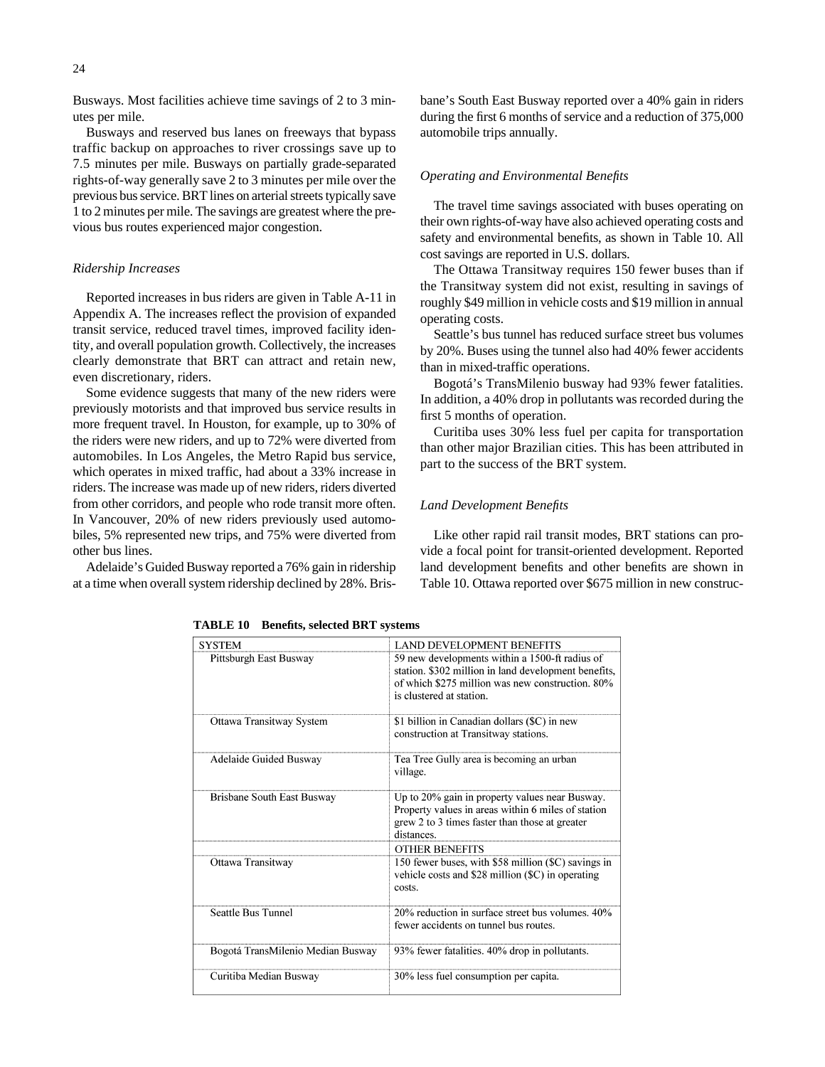Busways. Most facilities achieve time savings of 2 to 3 minutes per mile.

Busways and reserved bus lanes on freeways that bypass traffic backup on approaches to river crossings save up to 7.5 minutes per mile. Busways on partially grade-separated rights-of-way generally save 2 to 3 minutes per mile over the previous bus service. BRT lines on arterial streets typically save 1 to 2 minutes per mile. The savings are greatest where the previous bus routes experienced major congestion.

#### *Ridership Increases*

Reported increases in bus riders are given in Table A-11 in Appendix A. The increases reflect the provision of expanded transit service, reduced travel times, improved facility identity, and overall population growth. Collectively, the increases clearly demonstrate that BRT can attract and retain new, even discretionary, riders.

Some evidence suggests that many of the new riders were previously motorists and that improved bus service results in more frequent travel. In Houston, for example, up to 30% of the riders were new riders, and up to 72% were diverted from automobiles. In Los Angeles, the Metro Rapid bus service, which operates in mixed traffic, had about a 33% increase in riders. The increase was made up of new riders, riders diverted from other corridors, and people who rode transit more often. In Vancouver, 20% of new riders previously used automobiles, 5% represented new trips, and 75% were diverted from other bus lines.

Adelaide's Guided Busway reported a 76% gain in ridership at a time when overall system ridership declined by 28%. Brisbane's South East Busway reported over a 40% gain in riders during the first 6 months of service and a reduction of 375,000 automobile trips annually.

#### *Operating and Environmental Benefits*

The travel time savings associated with buses operating on their own rights-of-way have also achieved operating costs and safety and environmental benefits, as shown in Table 10. All cost savings are reported in U.S. dollars.

The Ottawa Transitway requires 150 fewer buses than if the Transitway system did not exist, resulting in savings of roughly \$49 million in vehicle costs and \$19 million in annual operating costs.

Seattle's bus tunnel has reduced surface street bus volumes by 20%. Buses using the tunnel also had 40% fewer accidents than in mixed-traffic operations.

Bogotá's TransMilenio busway had 93% fewer fatalities. In addition, a 40% drop in pollutants was recorded during the first 5 months of operation.

Curitiba uses 30% less fuel per capita for transportation than other major Brazilian cities. This has been attributed in part to the success of the BRT system.

#### *Land Development Benefits*

Like other rapid rail transit modes, BRT stations can provide a focal point for transit-oriented development. Reported land development benefits and other benefits are shown in Table 10. Ottawa reported over \$675 million in new construc-

**LAND DEVELOPMENT BENEFITS SYSTEM** Pittsburgh East Busway 59 new developments within a 1500-ft radius of station. \$302 million in land development benefits, of which \$275 million was new construction. 80% is clustered at station. Ottawa Transitway System \$1 billion in Canadian dollars (\$C) in new construction at Transitway stations. **Adelaide Guided Busway** Tea Tree Gully area is becoming an urban village. **Brisbane South East Busway** Up to 20% gain in property values near Busway. Property values in areas within 6 miles of station grew 2 to 3 times faster than those at greater distances. **OTHER BENEFITS** 150 fewer buses, with \$58 million (\$C) savings in Ottawa Transitway vehicle costs and \$28 million (\$C) in operating costs. Seattle Bus Tunnel 20% reduction in surface street bus volumes. 40% fewer accidents on tunnel bus routes. Bogotá TransMilenio Median Busway 93% fewer fatalities. 40% drop in pollutants. Curitiba Median Busway 30% less fuel consumption per capita.

**TABLE 10 Benefits, selected BRT systems**